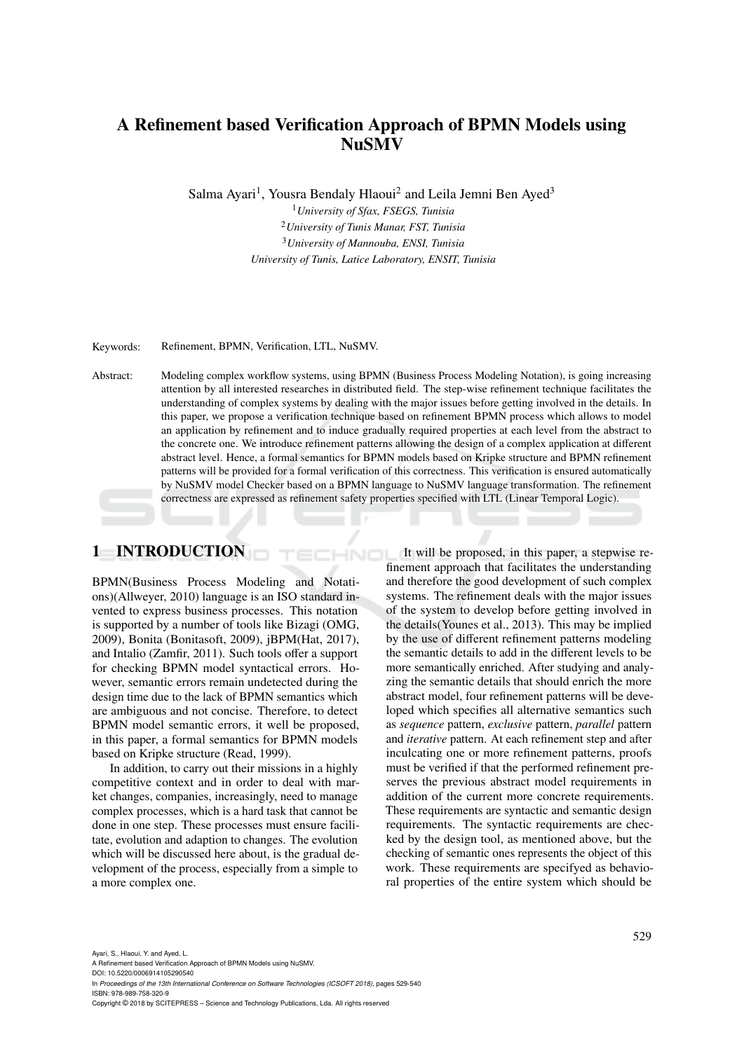## A Refinement based Verification Approach of BPMN Models using **NuSMV**

Salma Ayari<sup>1</sup>, Yousra Bendaly Hlaoui<sup>2</sup> and Leila Jemni Ben Ayed<sup>3</sup>

*University of Sfax, FSEGS, Tunisia University of Tunis Manar, FST, Tunisia University of Mannouba, ENSI, Tunisia University of Tunis, Latice Laboratory, ENSIT, Tunisia*

Keywords: Refinement, BPMN, Verification, LTL, NuSMV.

Abstract: Modeling complex workflow systems, using BPMN (Business Process Modeling Notation), is going increasing attention by all interested researches in distributed field. The step-wise refinement technique facilitates the understanding of complex systems by dealing with the major issues before getting involved in the details. In this paper, we propose a verification technique based on refinement BPMN process which allows to model an application by refinement and to induce gradually required properties at each level from the abstract to the concrete one. We introduce refinement patterns allowing the design of a complex application at different abstract level. Hence, a formal semantics for BPMN models based on Kripke structure and BPMN refinement patterns will be provided for a formal verification of this correctness. This verification is ensured automatically by NuSMV model Checker based on a BPMN language to NuSMV language transformation. The refinement correctness are expressed as refinement safety properties specified with LTL (Linear Temporal Logic).

HNO

### 1 INTRODUCTION

BPMN(Business Process Modeling and Notations)(Allweyer, 2010) language is an ISO standard invented to express business processes. This notation is supported by a number of tools like Bizagi (OMG, 2009), Bonita (Bonitasoft, 2009), jBPM(Hat, 2017), and Intalio (Zamfir, 2011). Such tools offer a support for checking BPMN model syntactical errors. However, semantic errors remain undetected during the design time due to the lack of BPMN semantics which are ambiguous and not concise. Therefore, to detect BPMN model semantic errors, it well be proposed, in this paper, a formal semantics for BPMN models based on Kripke structure (Read, 1999).

In addition, to carry out their missions in a highly competitive context and in order to deal with market changes, companies, increasingly, need to manage complex processes, which is a hard task that cannot be done in one step. These processes must ensure facilitate, evolution and adaption to changes. The evolution which will be discussed here about, is the gradual development of the process, especially from a simple to a more complex one.

It will be proposed, in this paper, a stepwise refinement approach that facilitates the understanding and therefore the good development of such complex systems. The refinement deals with the major issues of the system to develop before getting involved in the details(Younes et al., 2013). This may be implied by the use of different refinement patterns modeling the semantic details to add in the different levels to be more semantically enriched. After studying and analyzing the semantic details that should enrich the more abstract model, four refinement patterns will be developed which specifies all alternative semantics such as *sequence* pattern, *exclusive* pattern, *parallel* pattern and *iterative* pattern. At each refinement step and after inculcating one or more refinement patterns, proofs must be verified if that the performed refinement preserves the previous abstract model requirements in addition of the current more concrete requirements. These requirements are syntactic and semantic design requirements. The syntactic requirements are checked by the design tool, as mentioned above, but the checking of semantic ones represents the object of this work. These requirements are specifyed as behavioral properties of the entire system which should be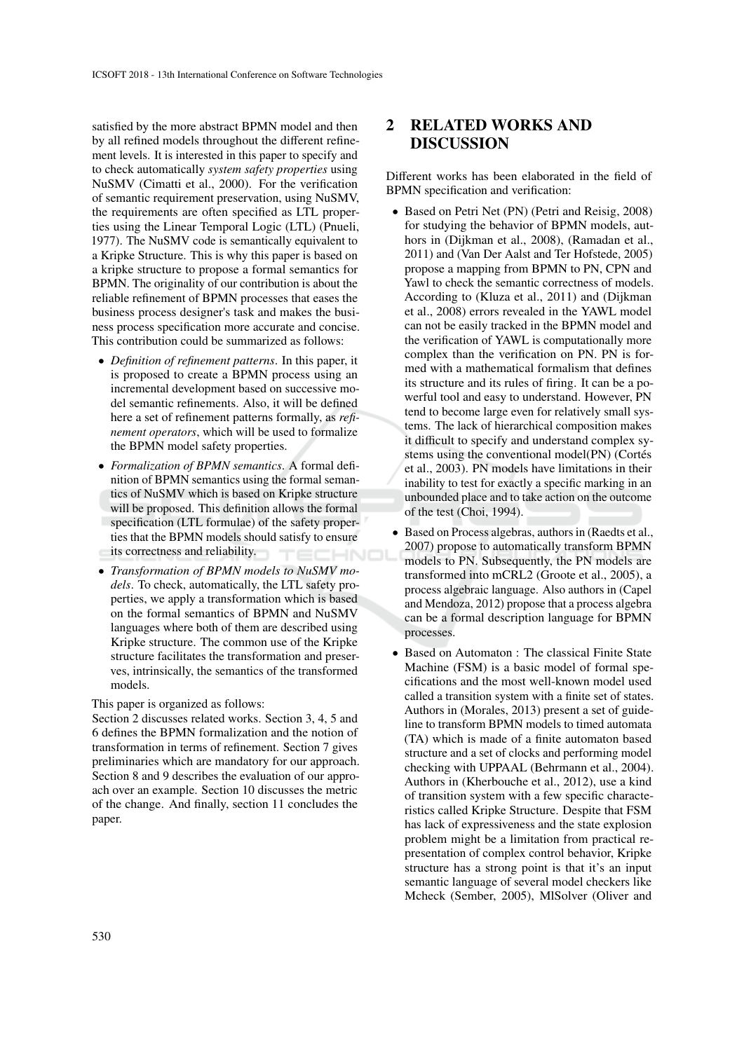satisfied by the more abstract BPMN model and then by all refined models throughout the different refinement levels. It is interested in this paper to specify and to check automatically *system safety properties* using NuSMV (Cimatti et al., 2000). For the verification of semantic requirement preservation, using NuSMV, the requirements are often specified as LTL properties using the Linear Temporal Logic (LTL) (Pnueli, 1977). The NuSMV code is semantically equivalent to a Kripke Structure. This is why this paper is based on a kripke structure to propose a formal semantics for BPMN. The originality of our contribution is about the reliable refinement of BPMN processes that eases the business process designer's task and makes the business process specification more accurate and concise. This contribution could be summarized as follows:

- *Definition of refinement patterns*. In this paper, it is proposed to create a BPMN process using an incremental development based on successive model semantic refinements. Also, it will be defined here a set of refinement patterns formally, as *refinement operators*, which will be used to formalize the BPMN model safety properties.
- *Formalization of BPMN semantics*. A formal definition of BPMN semantics using the formal semantics of NuSMV which is based on Kripke structure will be proposed. This definition allows the formal specification (LTL formulae) of the safety properties that the BPMN models should satisfy to ensure its correctness and reliability. HNO
- *Transformation of BPMN models to NuSMV models*. To check, automatically, the LTL safety properties, we apply a transformation which is based on the formal semantics of BPMN and NuSMV languages where both of them are described using Kripke structure. The common use of the Kripke structure facilitates the transformation and preserves, intrinsically, the semantics of the transformed models.

This paper is organized as follows:

Section 2 discusses related works. Section 3, 4, 5 and 6 defines the BPMN formalization and the notion of transformation in terms of refinement. Section 7 gives preliminaries which are mandatory for our approach. Section 8 and 9 describes the evaluation of our approach over an example. Section 10 discusses the metric of the change. And finally, section 11 concludes the paper.

## 2 RELATED WORKS AND DISCUSSION

Different works has been elaborated in the field of BPMN specification and verification:

- Based on Petri Net (PN) (Petri and Reisig, 2008) for studying the behavior of BPMN models, authors in (Dijkman et al., 2008), (Ramadan et al., 2011) and (Van Der Aalst and Ter Hofstede, 2005) propose a mapping from BPMN to PN, CPN and Yawl to check the semantic correctness of models. According to (Kluza et al., 2011) and (Dijkman et al., 2008) errors revealed in the YAWL model can not be easily tracked in the BPMN model and the verification of YAWL is computationally more complex than the verification on PN. PN is formed with a mathematical formalism that defines its structure and its rules of firing. It can be a powerful tool and easy to understand. However, PN tend to become large even for relatively small systems. The lack of hierarchical composition makes it difficult to specify and understand complex systems using the conventional model(PN) (Cortés et al., 2003). PN models have limitations in their inability to test for exactly a specific marking in an unbounded place and to take action on the outcome of the test (Choi, 1994).
- Based on Process algebras, authors in (Raedts et al., 2007) propose to automatically transform BPMN models to PN. Subsequently, the PN models are transformed into mCRL2 (Groote et al., 2005), a process algebraic language. Also authors in (Capel and Mendoza, 2012) propose that a process algebra can be a formal description language for BPMN processes.
- Based on Automaton : The classical Finite State Machine (FSM) is a basic model of formal specifications and the most well-known model used called a transition system with a finite set of states. Authors in (Morales, 2013) present a set of guideline to transform BPMN models to timed automata (TA) which is made of a finite automaton based structure and a set of clocks and performing model checking with UPPAAL (Behrmann et al., 2004). Authors in (Kherbouche et al., 2012), use a kind of transition system with a few specific characteristics called Kripke Structure. Despite that FSM has lack of expressiveness and the state explosion problem might be a limitation from practical representation of complex control behavior, Kripke structure has a strong point is that it's an input semantic language of several model checkers like Mcheck (Sember, 2005), MlSolver (Oliver and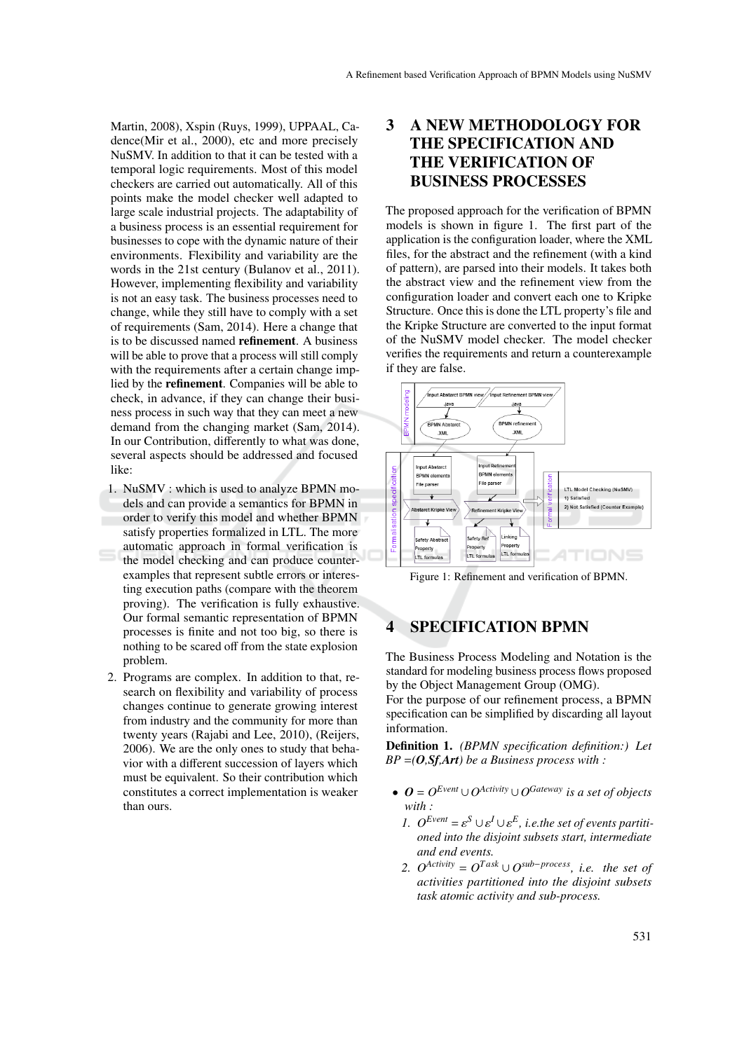Martin, 2008), Xspin (Ruys, 1999), UPPAAL, Cadence(Mir et al., 2000), etc and more precisely NuSMV. In addition to that it can be tested with a temporal logic requirements. Most of this model checkers are carried out automatically. All of this points make the model checker well adapted to large scale industrial projects. The adaptability of a business process is an essential requirement for businesses to cope with the dynamic nature of their environments. Flexibility and variability are the words in the 21st century (Bulanov et al., 2011). However, implementing flexibility and variability is not an easy task. The business processes need to change, while they still have to comply with a set of requirements (Sam, 2014). Here a change that is to be discussed named refinement. A business will be able to prove that a process will still comply with the requirements after a certain change implied by the refinement. Companies will be able to check, in advance, if they can change their business process in such way that they can meet a new demand from the changing market (Sam, 2014). In our Contribution, differently to what was done, several aspects should be addressed and focused like:

- 1. NuSMV : which is used to analyze BPMN models and can provide a semantics for BPMN in order to verify this model and whether BPMN satisfy properties formalized in LTL. The more automatic approach in formal verification is the model checking and can produce counterexamples that represent subtle errors or interesting execution paths (compare with the theorem proving). The verification is fully exhaustive. Our formal semantic representation of BPMN processes is finite and not too big, so there is nothing to be scared off from the state explosion problem.
- 2. Programs are complex. In addition to that, research on flexibility and variability of process changes continue to generate growing interest from industry and the community for more than twenty years (Rajabi and Lee, 2010), (Reijers, 2006). We are the only ones to study that behavior with a different succession of layers which must be equivalent. So their contribution which constitutes a correct implementation is weaker than ours.

## 3 A NEW METHODOLOGY FOR THE SPECIFICATION AND THE VERIFICATION OF BUSINESS PROCESSES

The proposed approach for the verification of BPMN models is shown in figure 1. The first part of the application is the configuration loader, where the XML files, for the abstract and the refinement (with a kind of pattern), are parsed into their models. It takes both the abstract view and the refinement view from the configuration loader and convert each one to Kripke Structure. Once this is done the LTL property's file and the Kripke Structure are converted to the input format of the NuSMV model checker. The model checker verifies the requirements and return a counterexample if they are false.



Figure 1: Refinement and verification of BPMN.

### 4 SPECIFICATION BPMN

The Business Process Modeling and Notation is the standard for modeling business process flows proposed by the Object Management Group (OMG).

For the purpose of our refinement process, a BPMN specification can be simplified by discarding all layout information.

Definition 1. *(BPMN specification definition:) Let BP* =*(O,Sf,Art) be a Business process with :*

- $\bullet$  *O* =  $O^{Event} \cup O^{Activity} \cup O^{Gateway}$  *is a set of objects with :*
	- *1.*  $O^{Event} = \varepsilon^{S} \cup \varepsilon^{I} \cup \varepsilon^{E}$ , *i.e.the set of events partitioned into the disjoint subsets start, intermediate and end events.*
	- 2.  $O^{Activity} = O^{Task} \cup O^{sub-process}$ , *i.e. the set of activities partitioned into the disjoint subsets task atomic activity and sub-process.*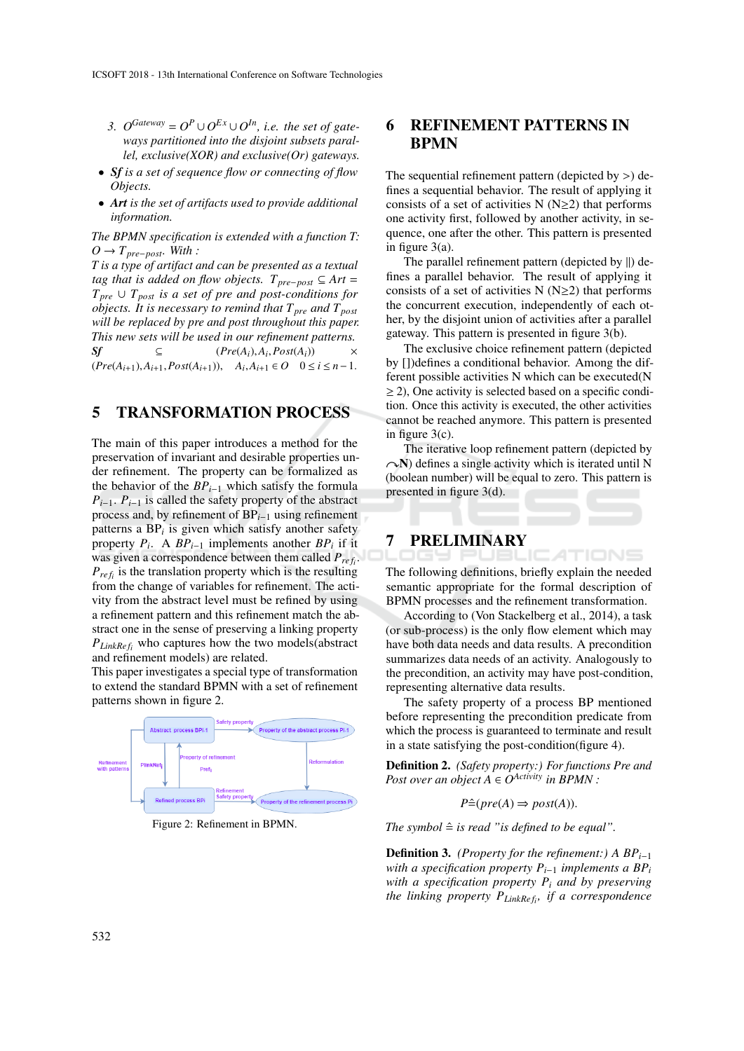- 3.  $O^{Gateway} = O^P \cup O^{Ex} \cup O^{In}$ , *i.e. the set of gateways partitioned into the disjoint subsets parallel, exclusive(XOR) and exclusive(Or) gateways.*
- *Sf is a set of sequence flow or connecting of flow Objects.*
- *Art is the set of artifacts used to provide additional information.*

*The BPMN specification is extended with a function T:*  $O$  →  $T_{pre-post}$ *. With :* 

*T is a type of artifact and can be presented as a textual tag that is added on flow objects.*  $T_{pre-post} ⊆ Art =$  $T_{pre} \cup T_{post}$  *is a set of pre and post-conditions for objects. It is necessary to remind that*  $T_{pre}$  *and*  $T_{post}$ *will be replaced by pre and post throughout this paper. This new sets will be used in our refinement patterns.*  $Sf \subseteq (Pre(A_i), A_i, Post(A_i)) \times$  $(Pre(A_{i+1}), A_{i+1}, Post(A_{i+1})),$   $A_i, A_{i+1} \in O$  0 ≤ *i* ≤ *n*−1.

#### 5 TRANSFORMATION PROCESS

The main of this paper introduces a method for the preservation of invariant and desirable properties under refinement. The property can be formalized as the behavior of the *BPi*−<sup>1</sup> which satisfy the formula  $P_{i-1}$ .  $P_{i-1}$  is called the safety property of the abstract process and, by refinement of BP*i*−<sup>1</sup> using refinement patterns a BP*<sup>i</sup>* is given which satisfy another safety property  $P_i$ . A  $BP_{i-1}$  implements another  $BP_i$  if it was given a correspondence between them called  $P_{ref_i}$ .  $P_{ref_i}$  is the translation property which is the resulting from the change of variables for refinement. The activity from the abstract level must be refined by using a refinement pattern and this refinement match the abstract one in the sense of preserving a linking property *PLinkRe f<sup>i</sup>* who captures how the two models(abstract and refinement models) are related.

This paper investigates a special type of transformation to extend the standard BPMN with a set of refinement patterns shown in figure 2.



Figure 2: Refinement in BPMN.

### 6 REFINEMENT PATTERNS IN BPMN

The sequential refinement pattern (depicted by  $>$ ) defines a sequential behavior. The result of applying it consists of a set of activities N ( $N \geq 2$ ) that performs one activity first, followed by another activity, in sequence, one after the other. This pattern is presented in figure 3(a).

The parallel refinement pattern (depicted by ‖) defines a parallel behavior. The result of applying it consists of a set of activities N  $(N \ge 2)$  that performs the concurrent execution, independently of each other, by the disjoint union of activities after a parallel gateway. This pattern is presented in figure 3(b).

The exclusive choice refinement pattern (depicted by [])defines a conditional behavior. Among the different possible activities N which can be executed(N  $\geq$  2), One activity is selected based on a specific condition. Once this activity is executed, the other activities cannot be reached anymore. This pattern is presented in figure 3(c).

The iterative loop refinement pattern (depicted by  $\sim$ N) defines a single activity which is iterated until N (boolean number) will be equal to zero. This pattern is presented in figure 3(d).

## 7 PRELIMINARY

The following definitions, briefly explain the needed semantic appropriate for the formal description of BPMN processes and the refinement transformation.

TIONS

According to (Von Stackelberg et al., 2014), a task (or sub-process) is the only flow element which may have both data needs and data results. A precondition summarizes data needs of an activity. Analogously to the precondition, an activity may have post-condition, representing alternative data results.

The safety property of a process BP mentioned before representing the precondition predicate from which the process is guaranteed to terminate and result in a state satisfying the post-condition(figure 4).

Definition 2. *(Safety property:) For functions Pre and Post over an object*  $A \in O^{Activity}$  *in BPMN* :

$$
P \hat{=} (pre(A) \Rightarrow post(A)).
$$

*The symbol*  $\hat{=}$  *is read "is defined to be equal".* 

**Definition 3.** *(Property for the refinement:)* A  $BP_{i-1}$ *with a specification property*  $P_{i-1}$  *implements a BP<sub>i</sub> with a specification property P<sup>i</sup> and by preserving the linking property PLinkRe f<sup>i</sup> , if a correspondence*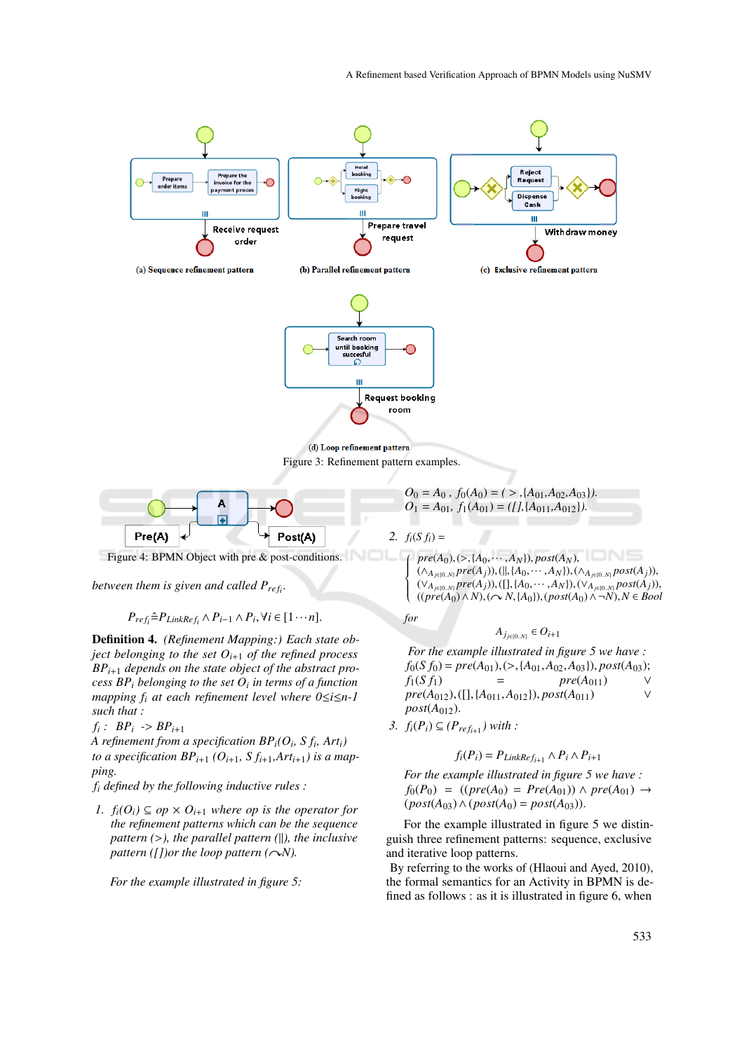



Figure 4: BPMN Object with pre & post-conditions.

*between them is given and called Pre f<sup>i</sup> .*

 $P_{ref_i} \triangleq P_{LinkRef_i} \wedge P_{i-1} \wedge P_i, \forall i \in [1 \cdots n].$ 

Definition 4. *(Refinement Mapping:) Each state object belonging to the set*  $O_{i+1}$  *of the refined process BPi*+<sup>1</sup> *depends on the state object of the abstract process BP<sup>i</sup> belonging to the set O<sup>i</sup> in terms of a function mapping f<sup>i</sup> at each refinement level where 0*≤*i*≤*n-1 such that :*

$$
f_i: BP_i \rightarrow BP_{i+1}
$$

*A refinement from a specification BPi(O<sup>i</sup> , S f<sup>i</sup> , Arti) to a specification BP*<sub>*i*+1</sub></sub>  $(O_{i+1}, S_{i+1}, Art_{i+1})$  *is a mapping.*

*f<sup>i</sup> defined by the following inductive rules :*

*1.*  $f_i$ ( $O_i$ ) ⊆  $op \times O_{i+1}$  *where op is the operator for the refinement patterns which can be the sequence pattern (*>*), the parallel pattern (*‖*), the inclusive pattern* ([])or the loop pattern ( $\sim$ *N*).

*For the example illustrated in figure 5:*

 $O_0 = A_0$ ,  $f_0(A_0) = (>, A_{01}, A_{02}, A_{03})$ .  $O_1 = A_{01}, f_1(A_{01}) = (1, \{A_{011}, A_{012}\}).$ 

2.  $f_i(S f_i) =$ 

*for*

 $\left\{\n\begin{array}{l}\n\text{pre}(A_0), (\triangleright, \{A_0, \dots, A_N\}), \text{post}(A_N), \\
(\wedge_{A_{j\in[0..N]}} \text{pre}(A_j)), (\parallel, \{A_0, \dots, A_N\}), \\
(\vee_{A_{j\in[0..N]}} \text{pre}(A_j)), (\square, A_{j\in[0..N]})\n\end{array}\n\right\}$  $\frac{1}{\sqrt{2\pi}}$ (∧*Aj*∈{0..*N*} *pre*(*Aj*)),(‖,{*A*0,··· ,*AN*}),(∧*Aj*∈{0..*N*} *post*(*Aj*)), (∨*Aj*∈{0..*N*} *pre*(*Aj*)),([],{*A*0,··· ,*AN*}),(∨*Aj*∈{0..*N*} *post*(*Aj*)),  $((\text{pre}(A_0) \land N), (\neg N, \{A_0\}), (\text{post}(A_0) \land \neg N), N \in \text{Bool}$ 

$$
A_{j_{j\in\{0..N\}}}\in O_{i+1}
$$

*For the example illustrated in figure 5 we have :*  $f_0(S f_0) = pre(A_{01}), (\geq, \{A_{01}, A_{02}, A_{03}\}), post(A_{03});$ <br>  $f_1(S f_1) = pre(A_{011}) \vee$  $pre(A_{011})$  $pre(A_{012}), ([], \{A_{011}, A_{012}\}), post(A_{011})$  $post(A_{012})$ .

*3. f*<sub>*i*</sub>(*P*<sub>*i*</sub>) ⊆ (*P*<sub>*ref*<sub>*i*+1</sub></sub>) with :

$$
f_i(P_i) = P_{LinkRef_{i+1}} \wedge P_i \wedge P_{i+1}
$$

*For the example illustrated in figure 5 we have : f*<sub>0</sub>(*P*<sub>0</sub>) = ((*pre*(*A*<sub>0</sub>) = *Pre*(*A*<sub>01</sub>)) ∧ *pre*(*A*<sub>01</sub>) → *(post* $($ *A* $<sub>03</sub>)∧($ *post* $($ *A* $<sub>0</sub>) =$ *post* $($ *A* $<sub>03</sub>)).$ 

For the example illustrated in figure 5 we distinguish three refinement patterns: sequence, exclusive and iterative loop patterns.

By referring to the works of (Hlaoui and Ayed, 2010), the formal semantics for an Activity in BPMN is defined as follows : as it is illustrated in figure 6, when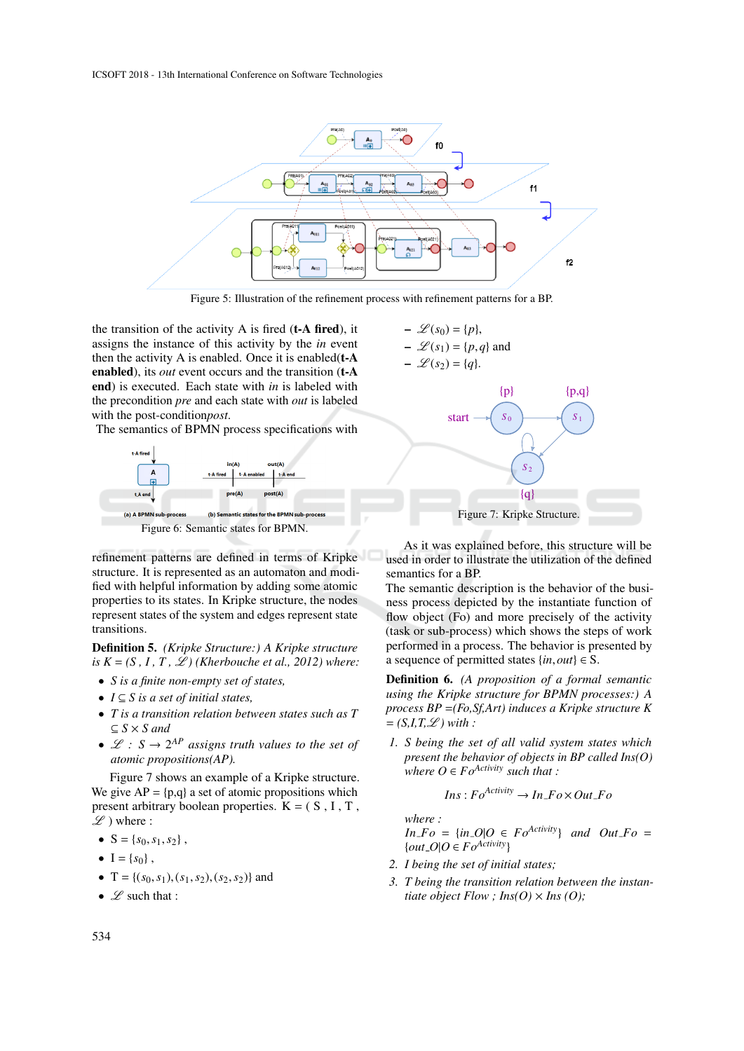

Figure 5: Illustration of the refinement process with refinement patterns for a BP.

 $-\mathcal{L}(s_0) = \{p\},\$  $-\mathcal{L}(s_1) = \{p,q\}$  and

the transition of the activity  $A$  is fired (**t-A fired**), it assigns the instance of this activity by the *in* event then the activity A is enabled. Once it is enabled $(t - A)$ enabled), its *out* event occurs and the transition (t-A end) is executed. Each state with *in* is labeled with the precondition *pre* and each state with *out* is labeled with the post-condition*post*.

The semantics of BPMN process specifications with



refinement patterns are defined in terms of Kripke structure. It is represented as an automaton and modified with helpful information by adding some atomic properties to its states. In Kripke structure, the nodes represent states of the system and edges represent state transitions.

Definition 5. *(Kripke Structure:) A Kripke structure is*  $K = (S, I, T, \mathcal{L})$  *(Kherbouche et al., 2012) where:* 

- *S is a finite non-empty set of states,*
- *I* ⊆ *S is a set of initial states,*
- *T is a transition relation between states such as T*  $\subseteq$  *S*  $\times$  *S* and
- $\mathscr{L}: S \to 2^{AP}$  *assigns truth values to the set of atomic propositions(AP).*

Figure 7 shows an example of a Kripke structure. We give  $AP = \{p,q\}$  a set of atomic propositions which present arbitrary boolean properties.  $K = (S, I, T, T)$  $\mathscr{L}$ ) where :

- $S = \{s_0, s_1, s_2\}$ ,
- $I = \{s_0\}$ ,
- $T = \{(s_0, s_1), (s_1, s_2), (s_2, s_2)\}\$  and
- $\mathscr L$  such that :



As it was explained before, this structure will be used in order to illustrate the utilization of the defined semantics for a BP.

The semantic description is the behavior of the business process depicted by the instantiate function of flow object (Fo) and more precisely of the activity (task or sub-process) which shows the steps of work performed in a process. The behavior is presented by a sequence of permitted states  $\{in, out\} \in S$ .

Definition 6. *(A proposition of a formal semantic using the Kripke structure for BPMN processes:) A process BP* =*(Fo,Sf,Art) induces a Kripke structure K*  $= (S,I,T,\mathcal{L})$  with :

*1. S being the set of all valid system states which present the behavior of objects in BP called Ins(O) where*  $O \in Fo^{Activity}$  *such that* :

$$
Ins: Fo^{Activity} \to In\_Fo \times Out\_Fo
$$

*where :*

 $In_F o = \{in_0 O | O \in Fo^{Activity}\}$  *and*  $Out_F o =$  $\{out\_O|O \in Fo^{Activity}\}$ 

- *2. I being the set of initial states;*
- *3. T being the transition relation between the instantiate object Flow ; Ins(O)*  $\times$  *Ins (O)*;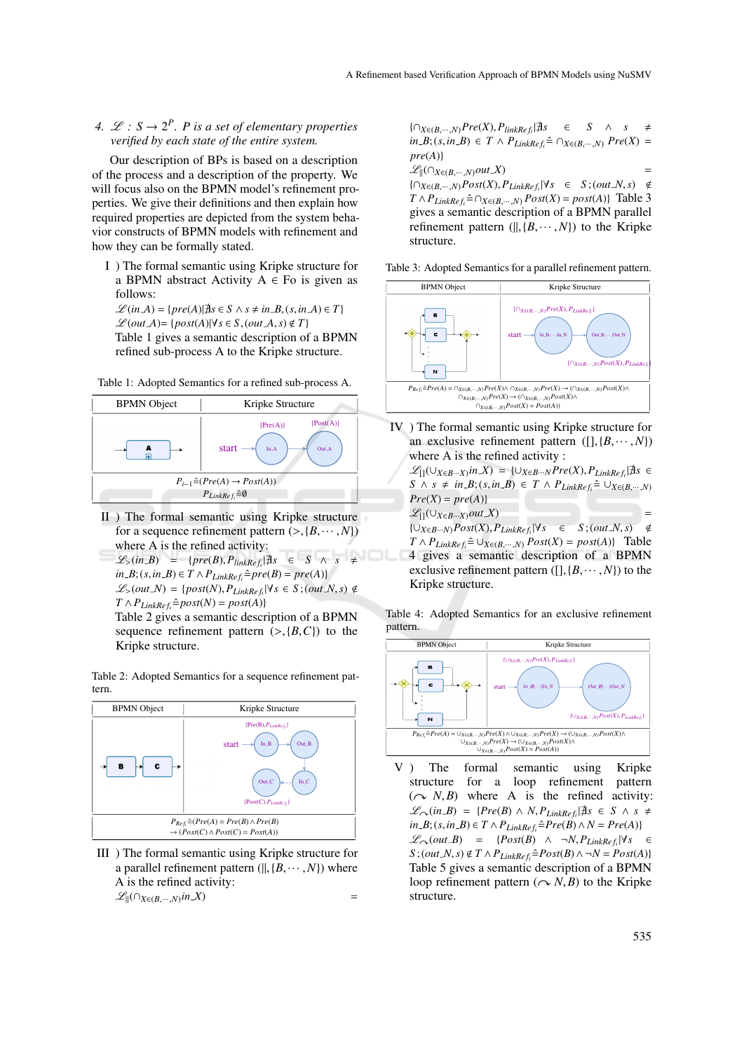#### 4.  $\mathcal{L}: S \to 2^P$ . *P* is a set of elementary properties *verified by each state of the entire system.*

Our description of BPs is based on a description of the process and a description of the property. We will focus also on the BPMN model's refinement properties. We give their definitions and then explain how required properties are depicted from the system behavior constructs of BPMN models with refinement and how they can be formally stated.

I ) The formal semantic using Kripke structure for a BPMN abstract Activity  $A \in Fo$  is given as follows:

 $\mathscr{L}(in\ A) = \{pre(A)| \nexists s \in S \land s \neq in\ B, (s, in\ A) \in T\}$ ℒ (*out A*)= {*post*(*A*)|∀*s* ∈ *S*,(*out A*,*s*) < *T*} Table 1 gives a semantic description of a BPMN refined sub-process A to the Kripke structure.

Table 1: Adopted Semantics for a refined sub-process A.



- II ) The formal semantic using Kripke structure for a sequence refinement pattern  $(\geq, \{B, \dots, N\})$ where A is the refined activity:
- $\mathscr{L}_>(in-B) = {pre(B), P_{linkRef_i} | \nexists s \in S \land s \neq \emptyset}$  $in$ *B*;(*s*,*inB*)  $\in$ *T*  $\wedge$   $P$ <sub>*LinkRef<sub>i</sub>*</sub> $\triangle$ *pre*(*B*) = *pre*(*A*)}  $L(S(out N) = \{post(N), P_{LinkRef_i} | \forall s \in S; (out N, s) \notin I \}$  $T \wedge P_{LinkRef_i} \hat{=} post(N) = post(A)$

Table 2 gives a semantic description of a BPMN sequence refinement pattern  $(>, \{B, C\})$  to the Kripke structure.

Table 2: Adopted Semantics for a sequence refinement pattern.



III ) The formal semantic using Kripke structure for a parallel refinement pattern  $(||, {B, \cdots, N}|)$  where A is the refined activity:  $\mathscr{L}_{\parallel}(\bigcap_{X \in (B, \cdots, N)} in X)$  =

{∩*X*∈(*B*,···,*N*)*Pre*(*X*),*PlinkRe f<sup>i</sup>* |@*s* ∈ *S* ∧ *s* , *in B*;(*s*,*in B*) ∈ *T* ∧  $P$ <sub>*LinkRef<sub>i</sub></sub>*  $\hat{=}$  ∩*X*∈(*B*,*···,N*) *Pre*(*X*) =</sub> *pre*(*A*)}  $\mathscr{L}_{\parallel}(\bigcap_{X \in (B, \cdots, N)} out X)$  = { $\cap_{X \in (B, \dots, N)}$ *Post*(*X*), *P*<sub>*LinkRef<sub>i</sub></sub>*|∀*s* ∈ *S* ; (*out*\_*N*, *s*) ∉</sub>  $T \wedge P_{LinkRef_i} \hat{=} \cap_{X \in (B, \dots, N)} Post(X) = post(A)$ } Table 3 gives a semantic description of a BPMN parallel refinement pattern  $(||, {B, \cdots, N}|)$  to the Kripke

Table 3: Adopted Semantics for a parallel refinement pattern.

structure.



IV ) The formal semantic using Kripke structure for an exclusive refinement pattern  $([], {B, \cdots, N})$ where A is the refined activity :

 $\mathscr{L}_{[]}(\cup_{X\in B\cdots X}in X) = {\cup_{X\in B\cdots N}Pre(X), P_{LinkRef_i}|\nexists s \in \mathbb{R}^N}$ *S* ∧ *s*  $\neq$  *in B*;(*s*,*in B*) ∈ *T* ∧ *P*<sub>*LinkRef<sub>i</sub></sub>* $\triangleq$  ∪*X*∈(*B*, ···,*N*)</sub>  $Pre(X) = pre(A)$  $\mathscr{L}_{\Pi}(\cup_{X\in B\cdots X}out\ X)$  = {∪*X*∈*B*···*N*)*Post*(*X*),*PLinkRe f<sup>i</sup>* |∀*s* ∈ *S* ;(*out N*,*s*) <  $T \wedge P_{LinkRef} \hat{=} \cup_{X \in (B, \dots, N)} Post(X) = post(A)$ } Table 4 gives a semantic description of a BPMN

exclusive refinement pattern  $([], {B, \cdots, N})$  to the Kripke structure.

Table 4: Adopted Semantics for an exclusive refinement pattern.



V ) The formal semantic using Kripke structure for a loop refinement pattern  $(\sim N, B)$  where A is the refined activity:  $\mathscr{L}_{\curvearrowright}(in.B) = \{Pre(B) \land N, P_{LinkRef_i} | \nexists s \in S \land s \neq \emptyset\}$ *in B*;  $(s, in$  *B*) ∈ *T* ∧  $P$ <sub>*LinkRe*  $f_i$ <sup> $\hat{=}$ </sup> $Pre(B)$  ∧  $N = Pre(A)$ }</sub>  $\mathscr{L}_{\curvearrowright}(out\_B)$  = { $Post(B) \wedge \neg N, P_{LinkRef_i}|\forall s$  ∈  $S$ ; (*out*\_*N*, *s*)  $\notin T \wedge P$ <sub>*LinkRef*<sub>*i*</sub></sub>  $\triangleq$  *Post*(*B*)  $\wedge \neg N = Post(A)$ } Table 5 gives a semantic description of a BPMN loop refinement pattern  $(\sim N, B)$  to the Kripke structure.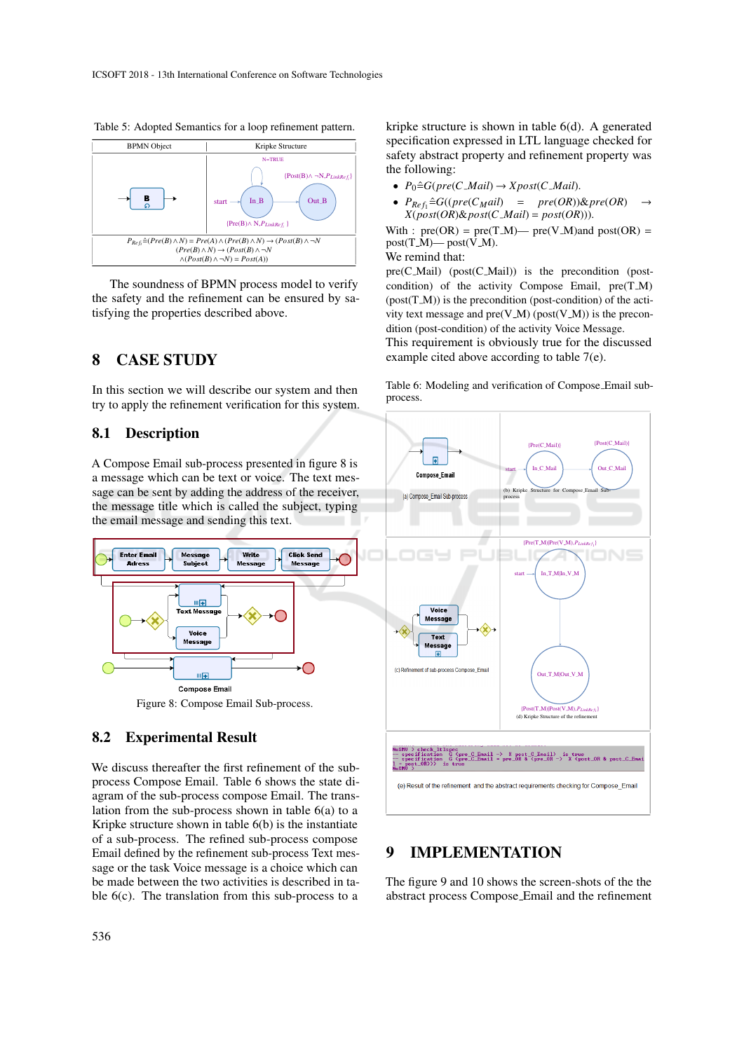

Table 5: Adopted Semantics for a loop refinement pattern.

The soundness of BPMN process model to verify the safety and the refinement can be ensured by satisfying the properties described above.

### 8 CASE STUDY

In this section we will describe our system and then try to apply the refinement verification for this system.

#### 8.1 Description

A Compose Email sub-process presented in figure 8 is a message which can be text or voice. The text message can be sent by adding the address of the receiver, the message title which is called the subject, typing the email message and sending this text.



Figure 8: Compose Email Sub-process.

#### 8.2 Experimental Result

We discuss thereafter the first refinement of the subprocess Compose Email. Table 6 shows the state diagram of the sub-process compose Email. The translation from the sub-process shown in table 6(a) to a Kripke structure shown in table 6(b) is the instantiate of a sub-process. The refined sub-process compose Email defined by the refinement sub-process Text message or the task Voice message is a choice which can be made between the two activities is described in table 6(c). The translation from this sub-process to a kripke structure is shown in table 6(d). A generated specification expressed in LTL language checked for safety abstract property and refinement property was the following:

- $P_0 \triangleq G(\text{pre}(C\_Mail) \rightarrow X \text{post}(C\_Mail)).$
- $P_{Ref_1} \triangleq G((pre(C_Mail) = pre(OR)) \& pre(OR)$  $X(post(OR)$ & $post(C\_Mail) = post(OR))$ .

With :  $pre(OR) = pre(T.M)$ —  $pre(V.M)$  and  $post(OR) =$  $post(T.M)$ — post( $V.M$ ).

We remind that:

pre(C\_Mail) (post(C\_Mail)) is the precondition (postcondition) of the activity Compose Email, pre(T\_M)  $(post(T.M))$  is the precondition (post-condition) of the activity text message and  $pre(V.M)$  ( $post(V.M)$ ) is the precondition (post-condition) of the activity Voice Message.

This requirement is obviously true for the discussed example cited above according to table 7(e).

Table 6: Modeling and verification of Compose Email subprocess.



### 9 IMPLEMENTATION

The figure 9 and 10 shows the screen-shots of the the abstract process Compose Email and the refinement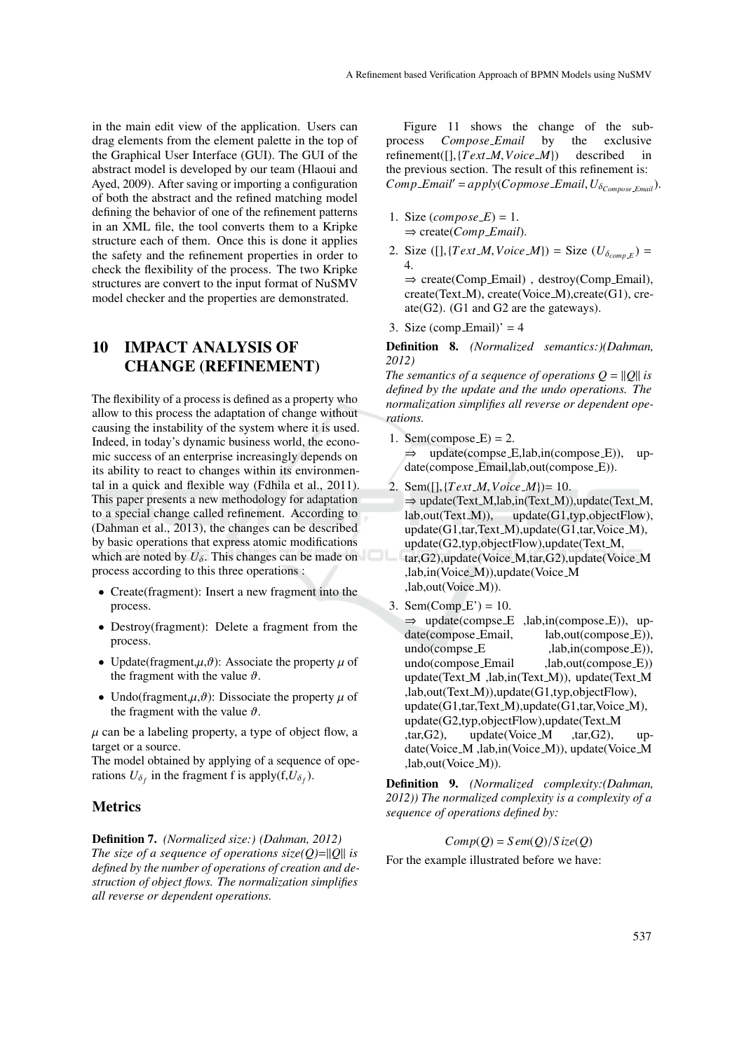in the main edit view of the application. Users can drag elements from the element palette in the top of the Graphical User Interface (GUI). The GUI of the abstract model is developed by our team (Hlaoui and Ayed, 2009). After saving or importing a configuration of both the abstract and the refined matching model defining the behavior of one of the refinement patterns in an XML file, the tool converts them to a Kripke structure each of them. Once this is done it applies the safety and the refinement properties in order to check the flexibility of the process. The two Kripke structures are convert to the input format of NuSMV model checker and the properties are demonstrated.

### 10 IMPACT ANALYSIS OF CHANGE (REFINEMENT)

The flexibility of a process is defined as a property who allow to this process the adaptation of change without causing the instability of the system where it is used. Indeed, in today's dynamic business world, the economic success of an enterprise increasingly depends on its ability to react to changes within its environmental in a quick and flexible way (Fdhila et al., 2011). This paper presents a new methodology for adaptation to a special change called refinement. According to (Dahman et al., 2013), the changes can be described by basic operations that express atomic modifications which are noted by  $U_{\delta}$ . This changes can be made on process according to this three operations :

- Create(fragment): Insert a new fragment into the process.
- Destroy(fragment): Delete a fragment from the process.
- Update(fragment, $\mu$ , $\vartheta$ ): Associate the property  $\mu$  of the fragment with the value  $\vartheta$ .
- Undo(fragment, $\mu$ , $\vartheta$ ): Dissociate the property  $\mu$  of the fragment with the value  $\vartheta$ .

 $\mu$  can be a labeling property, a type of object flow, a target or a source.

The model obtained by applying of a sequence of operations  $U_{\delta_f}$  in the fragment f is apply(f, $U_{\delta_f}$ ).

#### **Metrics**

Definition 7. *(Normalized size:) (Dahman, 2012) The size of a sequence of operations size(* $Q$ *)=||* $Q$ *|| <i>is defined by the number of operations of creation and destruction of object flows. The normalization simplifies all reverse or dependent operations.*

Figure 11 shows the change of the subprocess *Compose Email* by the exclusive refinement([],{*Text M*,*Voice M*}) described in the previous section. The result of this refinement is:  $Comp\_Email' = apply(Copmose\_Email, U_{\delta_{Compose\_Email}}).$ 

- 1. Size  $(composite\_E) = 1$ . ⇒ create(*Comp Email*).
- 2. Size ([], { $Text\_M$ ,  $Voice\_M$ }) = Size ( $U_{\delta_{comp\_E}}$ ) = 4. ⇒ create(Comp Email) , destroy(Comp Email),

create(Text\_M), create(Voice\_M), create(G1), create(G2). (G1 and G2 are the gateways).

3. Size (comp\_Email)' =  $4$ 

Definition 8. *(Normalized semantics:)(Dahman, 2012)*

*The semantics of a sequence of operations*  $Q = ||Q||$  *<i>is defined by the update and the undo operations. The normalization simplifies all reverse or dependent operations.*

- 1. Sem(compose\_ $E$ ) = 2.  $\Rightarrow$  update(compse\_E,lab,in(compose\_E)), update(compose Email,lab,out(compose E)).
- 2. Sem([],{*Text M*,*Voice M*})= 10.  $\Rightarrow$  update(Text\_M,lab,in(Text\_M)),update(Text\_M,<br>lab.out(Text\_M)), update(G1,typ,objectFlow),  $update(G1, typ,objectFlow)$ , update(G1,tar,Text\_M),update(G1,tar,Voice\_M), update(G2,typ,objectFlow),update(Text M, tar,G2),update(Voice M,tar,G2),update(Voice M ,lab,in(Voice M)),update(Voice M ,lab,out(Voice\_M)).
- 3. Sem(Comp  $E'$ ) = 10.  $\Rightarrow$  update(compse\_E ,lab,in(compose\_E)), up-<br>date(compose\_Email, lab,out(compose\_E)), date(compose\_Email, undo(compse E ,lab,in(compose E)), undo(compose\_Email ,lab,out(compose\_E)) update(Text\_M ,lab,in(Text\_M)), update(Text\_M ,lab,out(Text M)),update(G1,typ,objectFlow), update(G1,tar,Text\_M),update(G1,tar,Voice\_M), update(G2,typ,objectFlow),update(Text M ,tar,G2), update(Voice M ,tar,G2), update(Voice\_M,lab,in(Voice\_M)), update(Voice\_M) ,lab,out(Voice M)).

Definition 9. *(Normalized complexity:(Dahman, 2012)) The normalized complexity is a complexity of a sequence of operations defined by:*

 $Comp(O) = Sem(O)/Size(O)$ 

For the example illustrated before we have: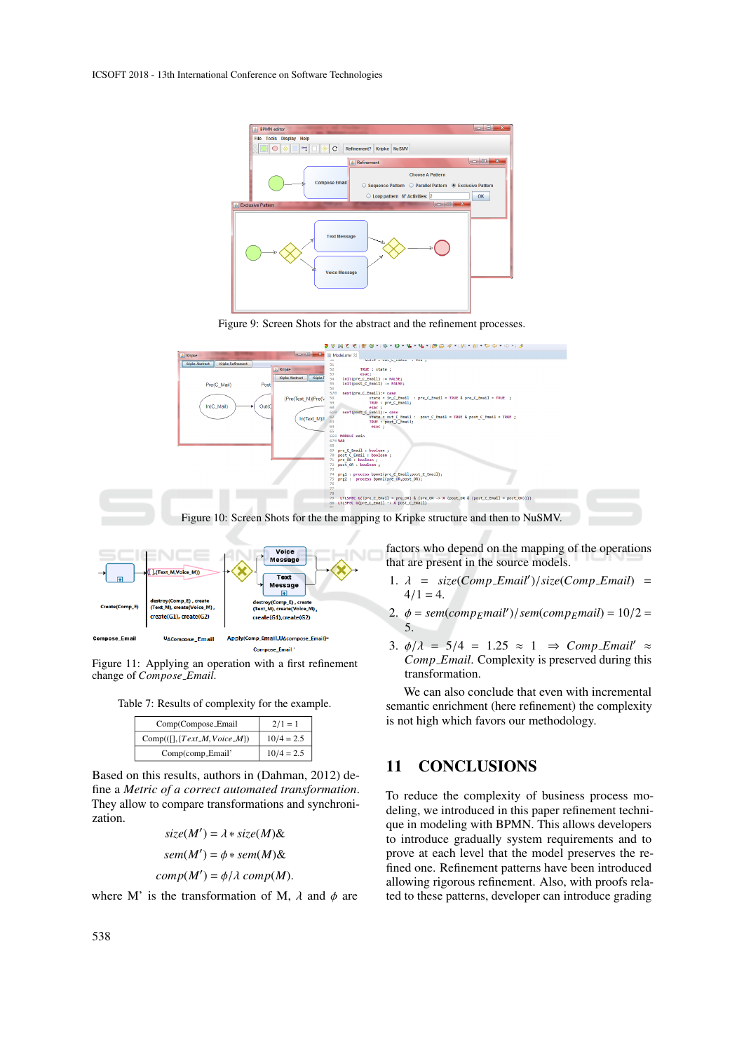

Figure 9: Screen Shots for the abstract and the refinement processes.



Figure 11: Applying an operation with a first refinement change of *Compose Email*.

Table 7: Results of complexity for the example.

| Comp(Compose_Email                 | $2/1=1$      |
|------------------------------------|--------------|
| $Comp([[], \{Text\_M, Voice\_M\})$ | $10/4 = 2.5$ |
| Comp(comp_Email'                   | $10/4 = 2.5$ |

Based on this results, authors in (Dahman, 2012) define a *Metric of a correct automated transformation*. They allow to compare transformations and synchronization.

$$
size(M') = \lambda * size(M) \&
$$

$$
sem(M') = \phi * sem(M) \&
$$

$$
comp(M') = \phi/\lambda comp(M).
$$

where M' is the transformation of M,  $\lambda$  and  $\phi$  are

*Comp Email*. Complexity is preserved during this transformation. We can also conclude that even with incremental semantic enrichment (here refinement) the complexity

# 11 CONCLUSIONS

is not high which favors our methodology.

To reduce the complexity of business process modeling, we introduced in this paper refinement technique in modeling with BPMN. This allows developers to introduce gradually system requirements and to prove at each level that the model preserves the refined one. Refinement patterns have been introduced allowing rigorous refinement. Also, with proofs related to these patterns, developer can introduce grading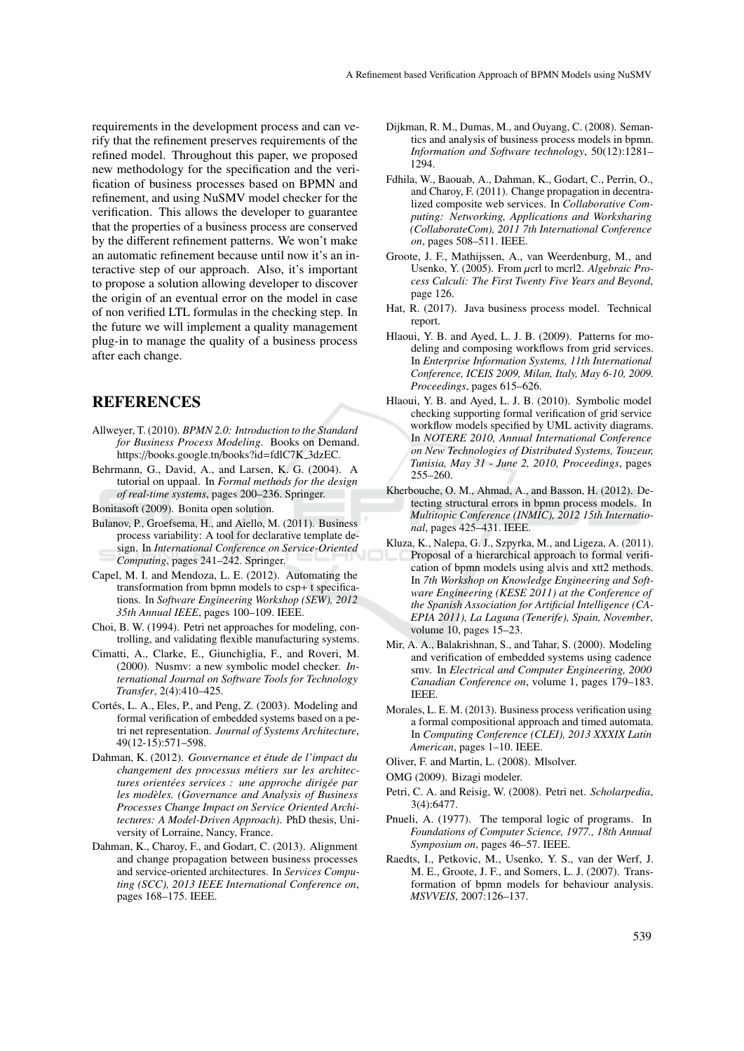requirements in the development process and can verify that the refinement preserves requirements of the refined model. Throughout this paper, we proposed new methodology for the specification and the verification of business processes based on BPMN and refinement, and using NuSMV model checker for the verification. This allows the developer to guarantee that the properties of a business process are conserved by the different refinement patterns. We won't make an automatic refinement because until now it's an interactive step of our approach. Also, it's important to propose a solution allowing developer to discover the origin of an eventual error on the model in case of non verified LTL formulas in the checking step. In the future we will implement a quality management plug-in to manage the quality of a business process after each change.

#### **REFERENCES**

- Allweyer, T. (2010). *BPMN 2.0: Introduction to the Standard for Business Process Modeling*. Books on Demand. https://books.google.tn/books?id=fdlC7K 3dzEC.
- Behrmann, G., David, A., and Larsen, K. G. (2004). A tutorial on uppaal. In *Formal methods for the design of real-time systems*, pages 200–236. Springer.

Bonitasoft (2009). Bonita open solution.

- Bulanov, P., Groefsema, H., and Aiello, M. (2011). Business process variability: A tool for declarative template design. In *International Conference on Service-Oriented Computing*, pages 241–242. Springer.
- Capel, M. I. and Mendoza, L. E. (2012). Automating the transformation from bpmn models to csp+ t specifications. In *Software Engineering Workshop (SEW), 2012 35th Annual IEEE*, pages 100–109. IEEE.
- Choi, B. W. (1994). Petri net approaches for modeling, controlling, and validating flexible manufacturing systems.
- Cimatti, A., Clarke, E., Giunchiglia, F., and Roveri, M. (2000). Nusmv: a new symbolic model checker. *International Journal on Software Tools for Technology Transfer*, 2(4):410–425.
- Cortés, L. A., Eles, P., and Peng, Z. (2003). Modeling and formal verification of embedded systems based on a petri net representation. *Journal of Systems Architecture*, 49(12-15):571–598.
- Dahman, K. (2012). Gouvernance et étude de l'impact du *changement des processus m´etiers sur les architectures orient´ees services : une approche dirig´ee par les mod`eles. (Governance and Analysis of Business Processes Change Impact on Service Oriented Architectures: A Model-Driven Approach)*. PhD thesis, University of Lorraine, Nancy, France.
- Dahman, K., Charoy, F., and Godart, C. (2013). Alignment and change propagation between business processes and service-oriented architectures. In *Services Computing (SCC), 2013 IEEE International Conference on*, pages 168–175. IEEE.
- Dijkman, R. M., Dumas, M., and Ouyang, C. (2008). Semantics and analysis of business process models in bpmn. *Information and Software technology*, 50(12):1281– 1294.
- Fdhila, W., Baouab, A., Dahman, K., Godart, C., Perrin, O., and Charoy, F. (2011). Change propagation in decentralized composite web services. In *Collaborative Computing: Networking, Applications and Worksharing (CollaborateCom), 2011 7th International Conference on*, pages 508–511. IEEE.
- Groote, J. F., Mathijssen, A., van Weerdenburg, M., and Usenko, Y. (2005). From µcrl to mcrl2. *Algebraic Process Calculi: The First Twenty Five Years and Beyond*, page 126.
- Hat, R. (2017). Java business process model. Technical report.
- Hlaoui, Y. B. and Ayed, L. J. B. (2009). Patterns for modeling and composing workflows from grid services. In *Enterprise Information Systems, 11th International Conference, ICEIS 2009, Milan, Italy, May 6-10, 2009. Proceedings*, pages 615–626.
- Hlaoui, Y. B. and Ayed, L. J. B. (2010). Symbolic model checking supporting formal verification of grid service workflow models specified by UML activity diagrams. In *NOTERE 2010, Annual International Conference on New Technologies of Distributed Systems, Touzeur, Tunisia, May 31 - June 2, 2010, Proceedings*, pages 255–260.
- Kherbouche, O. M., Ahmad, A., and Basson, H. (2012). Detecting structural errors in bpmn process models. In *Multitopic Conference (INMIC), 2012 15th International*, pages 425–431. IEEE.
- Kluza, K., Nalepa, G. J., Szpyrka, M., and Ligeza, A. (2011). Proposal of a hierarchical approach to formal verification of bpmn models using alvis and xtt2 methods. In *7th Workshop on Knowledge Engineering and Software Engineering (KESE 2011) at the Conference of the Spanish Association for Artificial Intelligence (CA-EPIA 2011), La Laguna (Tenerife), Spain, November*, volume 10, pages 15–23.
- Mir, A. A., Balakrishnan, S., and Tahar, S. (2000). Modeling and verification of embedded systems using cadence smv. In *Electrical and Computer Engineering, 2000 Canadian Conference on*, volume 1, pages 179–183. IEEE.
- Morales, L. E. M. (2013). Business process verification using a formal compositional approach and timed automata. In *Computing Conference (CLEI), 2013 XXXIX Latin American*, pages 1–10. IEEE.

Oliver, F. and Martin, L. (2008). Mlsolver.

- OMG (2009). Bizagi modeler.
- Petri, C. A. and Reisig, W. (2008). Petri net. *Scholarpedia*, 3(4):6477.
- Pnueli, A. (1977). The temporal logic of programs. In *Foundations of Computer Science, 1977., 18th Annual Symposium on*, pages 46–57. IEEE.
- Raedts, I., Petkovic, M., Usenko, Y. S., van der Werf, J. M. E., Groote, J. F., and Somers, L. J. (2007). Transformation of bpmn models for behaviour analysis. *MSVVEIS*, 2007:126–137.